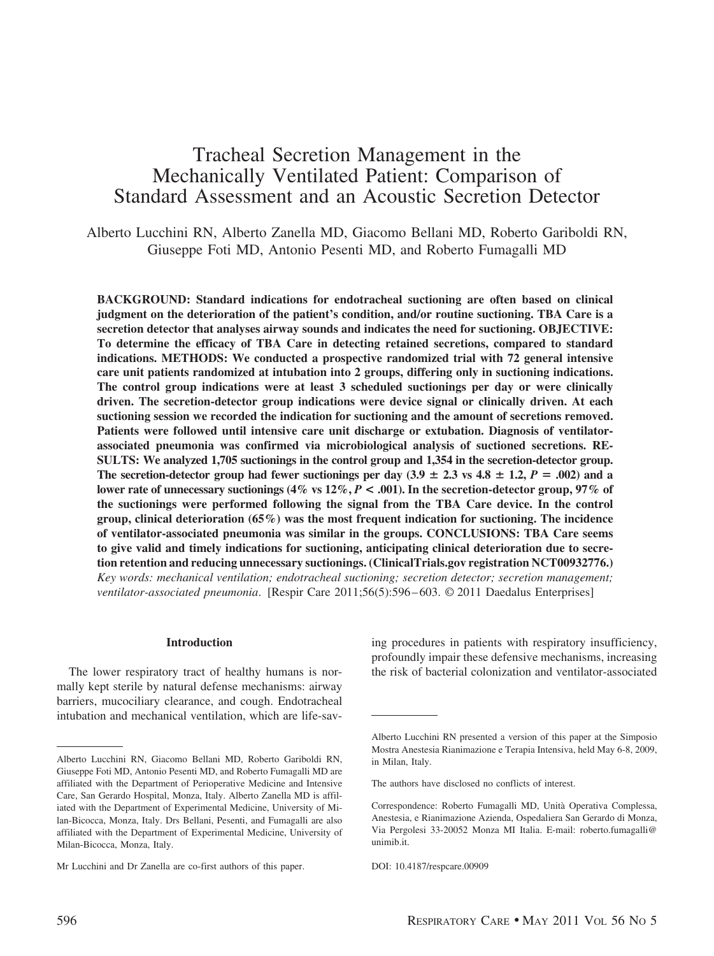# Tracheal Secretion Management in the Mechanically Ventilated Patient: Comparison of Standard Assessment and an Acoustic Secretion Detector

Alberto Lucchini RN, Alberto Zanella MD, Giacomo Bellani MD, Roberto Gariboldi RN, Giuseppe Foti MD, Antonio Pesenti MD, and Roberto Fumagalli MD

**BACKGROUND: Standard indications for endotracheal suctioning are often based on clinical judgment on the deterioration of the patient's condition, and/or routine suctioning. TBA Care is a secretion detector that analyses airway sounds and indicates the need for suctioning. OBJECTIVE: To determine the efficacy of TBA Care in detecting retained secretions, compared to standard indications. METHODS: We conducted a prospective randomized trial with 72 general intensive care unit patients randomized at intubation into 2 groups, differing only in suctioning indications. The control group indications were at least 3 scheduled suctionings per day or were clinically driven. The secretion-detector group indications were device signal or clinically driven. At each suctioning session we recorded the indication for suctioning and the amount of secretions removed. Patients were followed until intensive care unit discharge or extubation. Diagnosis of ventilatorassociated pneumonia was confirmed via microbiological analysis of suctioned secretions. RE-SULTS: We analyzed 1,705 suctionings in the control group and 1,354 in the secretion-detector group.** The secretion-detector group had fewer suctionings per day  $(3.9 \pm 2.3 \text{ vs } 4.8 \pm 1.2, P = .002)$  and a **lower rate of unnecessary suctionings (4% vs**  $12\%, P < .001$ **). In the secretion-detector group, 97% of the suctionings were performed following the signal from the TBA Care device. In the control group, clinical deterioration (65%) was the most frequent indication for suctioning. The incidence of ventilator-associated pneumonia was similar in the groups. CONCLUSIONS: TBA Care seems to give valid and timely indications for suctioning, anticipating clinical deterioration due to secretion retention and reducing unnecessary suctionings. (ClinicalTrials.gov registration NCT00932776.)** *Key words: mechanical ventilation; endotracheal suctioning; secretion detector; secretion management; ventilator-associated pneumonia*. [Respir Care 2011;56(5):596 – 603. © 2011 Daedalus Enterprises]

#### **Introduction**

The lower respiratory tract of healthy humans is normally kept sterile by natural defense mechanisms: airway barriers, mucociliary clearance, and cough. Endotracheal intubation and mechanical ventilation, which are life-saving procedures in patients with respiratory insufficiency, profoundly impair these defensive mechanisms, increasing the risk of bacterial colonization and ventilator-associated

Alberto Lucchini RN, Giacomo Bellani MD, Roberto Gariboldi RN, Giuseppe Foti MD, Antonio Pesenti MD, and Roberto Fumagalli MD are affiliated with the Department of Perioperative Medicine and Intensive Care, San Gerardo Hospital, Monza, Italy. Alberto Zanella MD is affiliated with the Department of Experimental Medicine, University of Milan-Bicocca, Monza, Italy. Drs Bellani, Pesenti, and Fumagalli are also affiliated with the Department of Experimental Medicine, University of Milan-Bicocca, Monza, Italy.

Mr Lucchini and Dr Zanella are co-first authors of this paper.

Alberto Lucchini RN presented a version of this paper at the Simposio Mostra Anestesia Rianimazione e Terapia Intensiva, held May 6-8, 2009, in Milan, Italy.

The authors have disclosed no conflicts of interest.

Correspondence: Roberto Fumagalli MD, Unita` Operativa Complessa, Anestesia, e Rianimazione Azienda, Ospedaliera San Gerardo di Monza, Via Pergolesi 33-20052 Monza MI Italia. E-mail: roberto.fumagalli@ unimib.it.

DOI: 10.4187/respcare.00909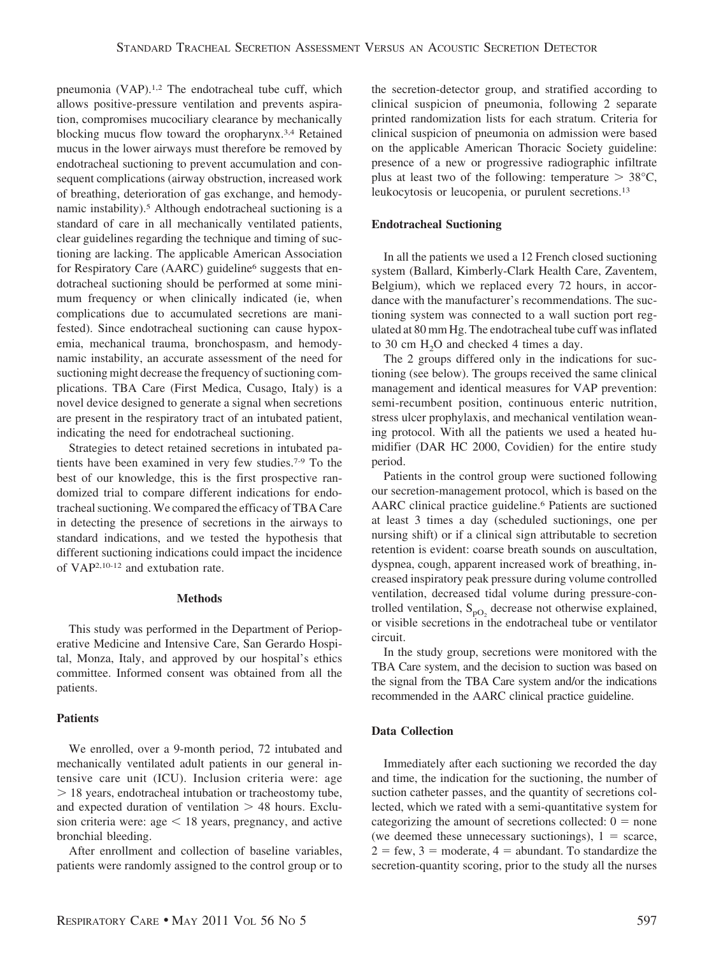pneumonia (VAP).<sup>1,2</sup> The endotracheal tube cuff, which allows positive-pressure ventilation and prevents aspiration, compromises mucociliary clearance by mechanically blocking mucus flow toward the oropharynx.3,4 Retained mucus in the lower airways must therefore be removed by endotracheal suctioning to prevent accumulation and consequent complications (airway obstruction, increased work of breathing, deterioration of gas exchange, and hemodynamic instability).5 Although endotracheal suctioning is a standard of care in all mechanically ventilated patients, clear guidelines regarding the technique and timing of suctioning are lacking. The applicable American Association for Respiratory Care (AARC) guideline<sup>6</sup> suggests that endotracheal suctioning should be performed at some minimum frequency or when clinically indicated (ie, when complications due to accumulated secretions are manifested). Since endotracheal suctioning can cause hypoxemia, mechanical trauma, bronchospasm, and hemodynamic instability, an accurate assessment of the need for suctioning might decrease the frequency of suctioning complications. TBA Care (First Medica, Cusago, Italy) is a novel device designed to generate a signal when secretions are present in the respiratory tract of an intubated patient, indicating the need for endotracheal suctioning.

Strategies to detect retained secretions in intubated patients have been examined in very few studies.7-9 To the best of our knowledge, this is the first prospective randomized trial to compare different indications for endotracheal suctioning. We compared the efficacy of TBA Care in detecting the presence of secretions in the airways to standard indications, and we tested the hypothesis that different suctioning indications could impact the incidence of VAP2,10-12 and extubation rate.

#### **Methods**

This study was performed in the Department of Perioperative Medicine and Intensive Care, San Gerardo Hospital, Monza, Italy, and approved by our hospital's ethics committee. Informed consent was obtained from all the patients.

# **Patients**

We enrolled, over a 9-month period, 72 intubated and mechanically ventilated adult patients in our general intensive care unit (ICU). Inclusion criteria were: age 18 years, endotracheal intubation or tracheostomy tube, and expected duration of ventilation  $> 48$  hours. Exclusion criteria were:  $\text{age} < 18$  years, pregnancy, and active bronchial bleeding.

After enrollment and collection of baseline variables, patients were randomly assigned to the control group or to the secretion-detector group, and stratified according to clinical suspicion of pneumonia, following 2 separate printed randomization lists for each stratum. Criteria for clinical suspicion of pneumonia on admission were based on the applicable American Thoracic Society guideline: presence of a new or progressive radiographic infiltrate plus at least two of the following: temperature  $> 38^{\circ}$ C, leukocytosis or leucopenia, or purulent secretions.13

#### **Endotracheal Suctioning**

In all the patients we used a 12 French closed suctioning system (Ballard, Kimberly-Clark Health Care, Zaventem, Belgium), which we replaced every 72 hours, in accordance with the manufacturer's recommendations. The suctioning system was connected to a wall suction port regulated at 80 mm Hg. The endotracheal tube cuff was inflated to 30 cm  $H_2O$  and checked 4 times a day.

The 2 groups differed only in the indications for suctioning (see below). The groups received the same clinical management and identical measures for VAP prevention: semi-recumbent position, continuous enteric nutrition, stress ulcer prophylaxis, and mechanical ventilation weaning protocol. With all the patients we used a heated humidifier (DAR HC 2000, Covidien) for the entire study period.

Patients in the control group were suctioned following our secretion-management protocol, which is based on the AARC clinical practice guideline.6 Patients are suctioned at least 3 times a day (scheduled suctionings, one per nursing shift) or if a clinical sign attributable to secretion retention is evident: coarse breath sounds on auscultation, dyspnea, cough, apparent increased work of breathing, increased inspiratory peak pressure during volume controlled ventilation, decreased tidal volume during pressure-controlled ventilation,  $S_{pO_2}$  decrease not otherwise explained, or visible secretions in the endotracheal tube or ventilator circuit.

In the study group, secretions were monitored with the TBA Care system, and the decision to suction was based on the signal from the TBA Care system and/or the indications recommended in the AARC clinical practice guideline.

# **Data Collection**

Immediately after each suctioning we recorded the day and time, the indication for the suctioning, the number of suction catheter passes, and the quantity of secretions collected, which we rated with a semi-quantitative system for categorizing the amount of secretions collected:  $0 =$  none (we deemed these unnecessary suctionings),  $1 =$  scarce,  $2 = few, 3 = moderate, 4 = abundant. To standardize the$ secretion-quantity scoring, prior to the study all the nurses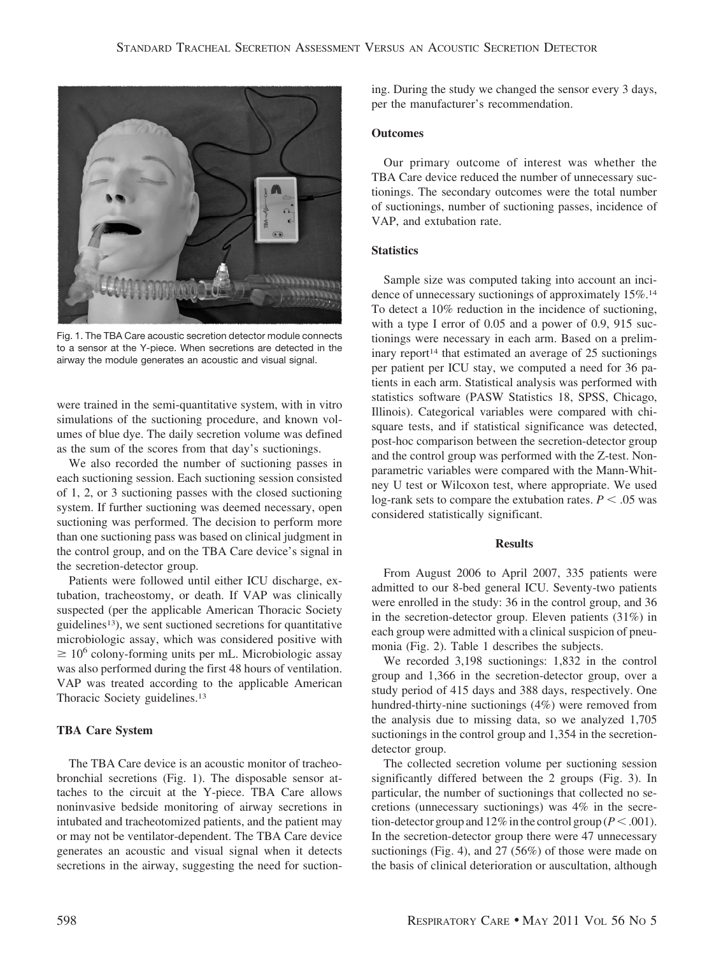

Fig. 1. The TBA Care acoustic secretion detector module connects to a sensor at the Y-piece. When secretions are detected in the airway the module generates an acoustic and visual signal.

were trained in the semi-quantitative system, with in vitro simulations of the suctioning procedure, and known volumes of blue dye. The daily secretion volume was defined as the sum of the scores from that day's suctionings.

We also recorded the number of suctioning passes in each suctioning session. Each suctioning session consisted of 1, 2, or 3 suctioning passes with the closed suctioning system. If further suctioning was deemed necessary, open suctioning was performed. The decision to perform more than one suctioning pass was based on clinical judgment in the control group, and on the TBA Care device's signal in the secretion-detector group.

Patients were followed until either ICU discharge, extubation, tracheostomy, or death. If VAP was clinically suspected (per the applicable American Thoracic Society guidelines<sup>13</sup>), we sent suctioned secretions for quantitative microbiologic assay, which was considered positive with  $\geq 10^6$  colony-forming units per mL. Microbiologic assay was also performed during the first 48 hours of ventilation. VAP was treated according to the applicable American Thoracic Society guidelines.<sup>13</sup>

# **TBA Care System**

The TBA Care device is an acoustic monitor of tracheobronchial secretions (Fig. 1). The disposable sensor attaches to the circuit at the Y-piece. TBA Care allows noninvasive bedside monitoring of airway secretions in intubated and tracheotomized patients, and the patient may or may not be ventilator-dependent. The TBA Care device generates an acoustic and visual signal when it detects secretions in the airway, suggesting the need for suctioning. During the study we changed the sensor every 3 days, per the manufacturer's recommendation.

## **Outcomes**

Our primary outcome of interest was whether the TBA Care device reduced the number of unnecessary suctionings. The secondary outcomes were the total number of suctionings, number of suctioning passes, incidence of VAP, and extubation rate.

# **Statistics**

Sample size was computed taking into account an incidence of unnecessary suctionings of approximately 15%.14 To detect a 10% reduction in the incidence of suctioning, with a type I error of 0.05 and a power of 0.9, 915 suctionings were necessary in each arm. Based on a preliminary report<sup>14</sup> that estimated an average of  $25$  suctionings per patient per ICU stay, we computed a need for 36 patients in each arm. Statistical analysis was performed with statistics software (PASW Statistics 18, SPSS, Chicago, Illinois). Categorical variables were compared with chisquare tests, and if statistical significance was detected, post-hoc comparison between the secretion-detector group and the control group was performed with the Z-test. Nonparametric variables were compared with the Mann-Whitney U test or Wilcoxon test, where appropriate. We used log-rank sets to compare the extubation rates.  $P < .05$  was considered statistically significant.

# **Results**

From August 2006 to April 2007, 335 patients were admitted to our 8-bed general ICU. Seventy-two patients were enrolled in the study: 36 in the control group, and 36 in the secretion-detector group. Eleven patients (31%) in each group were admitted with a clinical suspicion of pneumonia (Fig. 2). Table 1 describes the subjects.

We recorded 3,198 suctionings: 1,832 in the control group and 1,366 in the secretion-detector group, over a study period of 415 days and 388 days, respectively. One hundred-thirty-nine suctionings (4%) were removed from the analysis due to missing data, so we analyzed 1,705 suctionings in the control group and 1,354 in the secretiondetector group.

The collected secretion volume per suctioning session significantly differed between the 2 groups (Fig. 3). In particular, the number of suctionings that collected no secretions (unnecessary suctionings) was 4% in the secretion-detector group and  $12\%$  in the control group ( $P < .001$ ). In the secretion-detector group there were 47 unnecessary suctionings (Fig. 4), and 27 (56%) of those were made on the basis of clinical deterioration or auscultation, although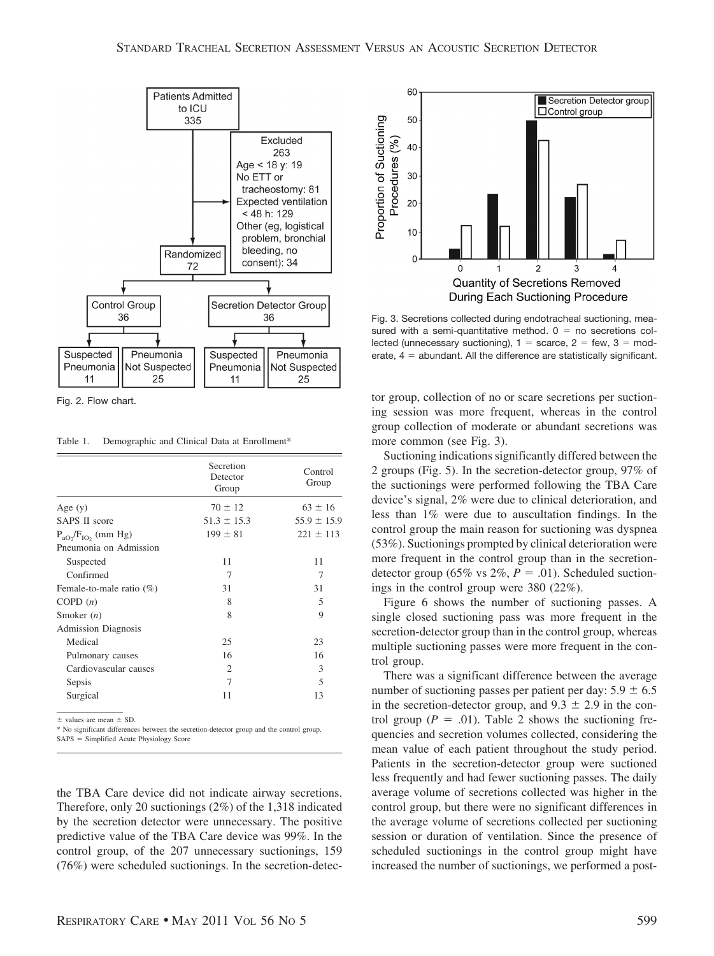

Fig. 2. Flow chart.

Table 1. Demographic and Clinical Data at Enrollment\*

|                             | Secretion<br>Detector<br>Group | Control<br>Group |
|-----------------------------|--------------------------------|------------------|
| Age $(y)$                   | $70 \pm 12$                    | $63 \pm 16$      |
| SAPS II score               | $51.3 \pm 15.3$                | $55.9 \pm 15.9$  |
| $P_{aO_2}/F_{IO_2}$ (mm Hg) | $199 \pm 81$                   | $221 \pm 113$    |
| Pneumonia on Admission      |                                |                  |
| Suspected                   | 11                             | 11               |
| Confirmed                   | 7                              | 7                |
| Female-to-male ratio $(\%)$ | 31                             | 31               |
| COPD(n)                     | 8                              | 5                |
| Smoker $(n)$                | 8                              | 9                |
| <b>Admission Diagnosis</b>  |                                |                  |
| Medical                     | 25                             | 23               |
| Pulmonary causes            | 16                             | 16               |
| Cardiovascular causes       | $\overline{c}$                 | 3                |
| Sepsis                      | 7                              | 5                |
| Surgical                    | 11                             | 13               |

 $\pm$  values are mean  $\pm$  SD.

\* No significant differences between the secretion-detector group and the control group. SAPS = Simplified Acute Physiology Score

the TBA Care device did not indicate airway secretions. Therefore, only 20 suctionings (2%) of the 1,318 indicated by the secretion detector were unnecessary. The positive predictive value of the TBA Care device was 99%. In the control group, of the 207 unnecessary suctionings, 159 (76%) were scheduled suctionings. In the secretion-detec-



Fig. 3. Secretions collected during endotracheal suctioning, measured with a semi-quantitative method.  $0 =$  no secretions collected (unnecessary suctioning),  $1 =$  scarce,  $2 =$  few,  $3 =$  moderate,  $4 =$  abundant. All the difference are statistically significant.

tor group, collection of no or scare secretions per suctioning session was more frequent, whereas in the control group collection of moderate or abundant secretions was more common (see Fig. 3).

Suctioning indications significantly differed between the 2 groups (Fig. 5). In the secretion-detector group, 97% of the suctionings were performed following the TBA Care device's signal, 2% were due to clinical deterioration, and less than 1% were due to auscultation findings. In the control group the main reason for suctioning was dyspnea (53%). Suctionings prompted by clinical deterioration were more frequent in the control group than in the secretiondetector group (65% vs  $2\%, P = .01$ ). Scheduled suctionings in the control group were 380 (22%).

Figure 6 shows the number of suctioning passes. A single closed suctioning pass was more frequent in the secretion-detector group than in the control group, whereas multiple suctioning passes were more frequent in the control group.

There was a significant difference between the average number of suctioning passes per patient per day:  $5.9 \pm 6.5$ in the secretion-detector group, and  $9.3 \pm 2.9$  in the control group  $(P = .01)$ . Table 2 shows the suctioning frequencies and secretion volumes collected, considering the mean value of each patient throughout the study period. Patients in the secretion-detector group were suctioned less frequently and had fewer suctioning passes. The daily average volume of secretions collected was higher in the control group, but there were no significant differences in the average volume of secretions collected per suctioning session or duration of ventilation. Since the presence of scheduled suctionings in the control group might have increased the number of suctionings, we performed a post-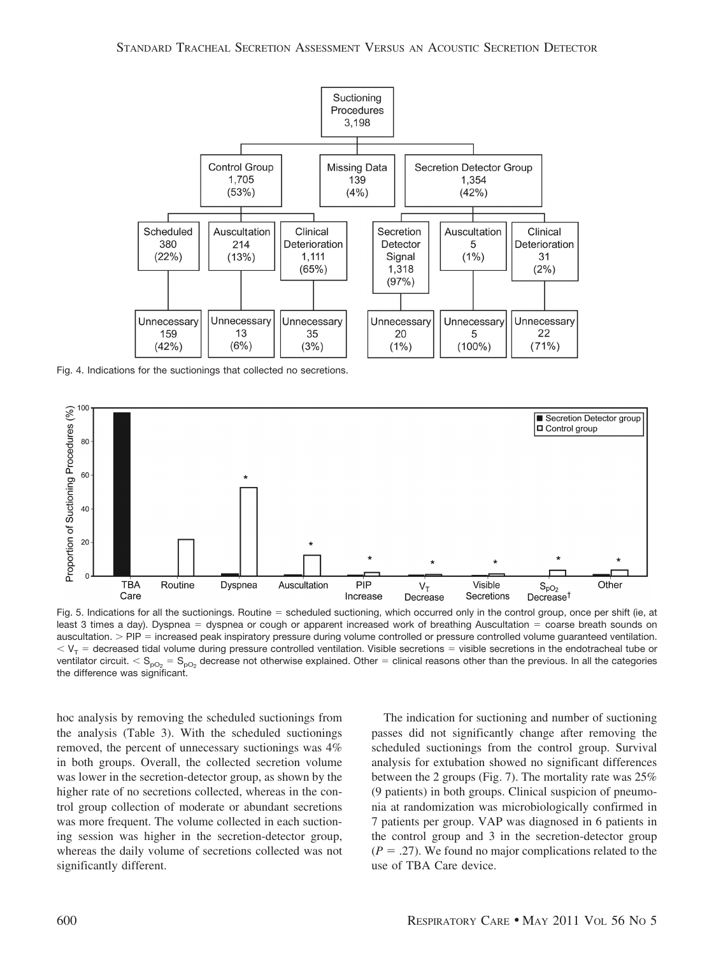

Fig. 4. Indications for the suctionings that collected no secretions.



Fig. 5. Indications for all the suctionings. Routine = scheduled suctioning, which occurred only in the control group, once per shift (ie, at least 3 times a day). Dyspnea = dyspnea or cough or apparent increased work of breathing Auscultation = coarse breath sounds on auscultation. > PIP = increased peak inspiratory pressure during volume controlled or pressure controlled volume guaranteed ventilation.  $<$  V<sub>T</sub> = decreased tidal volume during pressure controlled ventilation. Visible secretions = visible secretions in the endotracheal tube or ventilator circuit.  $<$  S<sub>pO2</sub> = S<sub>pO2</sub> decrease not otherwise explained. Other = clinical reasons other than the previous. In all the categories the difference was significant.

hoc analysis by removing the scheduled suctionings from the analysis (Table 3). With the scheduled suctionings removed, the percent of unnecessary suctionings was 4% in both groups. Overall, the collected secretion volume was lower in the secretion-detector group, as shown by the higher rate of no secretions collected, whereas in the control group collection of moderate or abundant secretions was more frequent. The volume collected in each suctioning session was higher in the secretion-detector group, whereas the daily volume of secretions collected was not significantly different.

The indication for suctioning and number of suctioning passes did not significantly change after removing the scheduled suctionings from the control group. Survival analysis for extubation showed no significant differences between the 2 groups (Fig. 7). The mortality rate was 25% (9 patients) in both groups. Clinical suspicion of pneumonia at randomization was microbiologically confirmed in 7 patients per group. VAP was diagnosed in 6 patients in the control group and 3 in the secretion-detector group  $(P = .27)$ . We found no major complications related to the use of TBA Care device.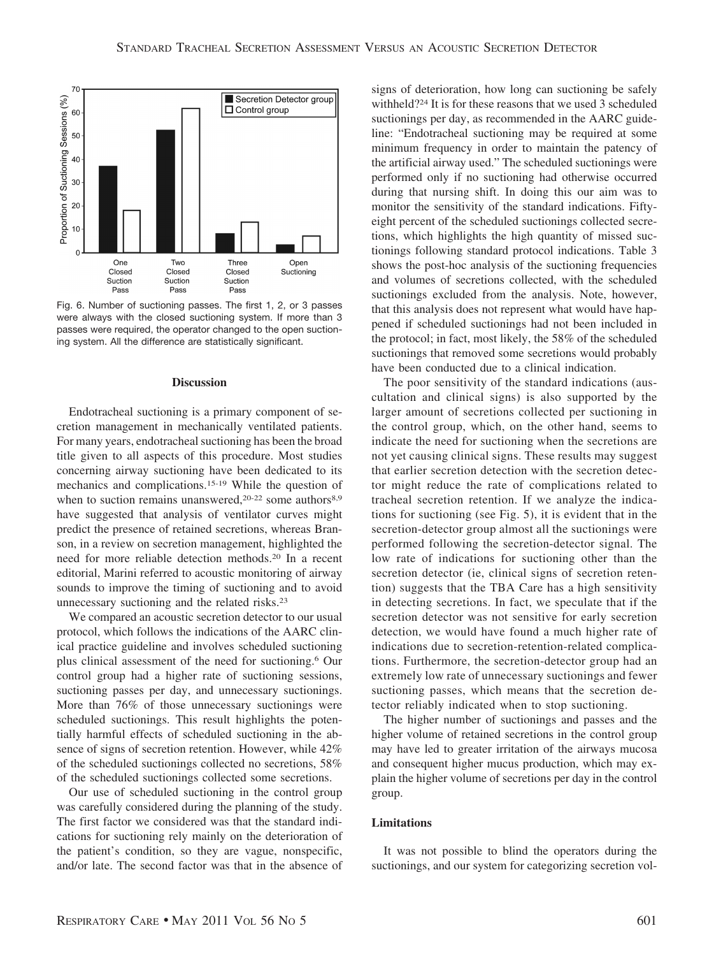

Fig. 6. Number of suctioning passes. The first 1, 2, or 3 passes were always with the closed suctioning system. If more than 3 passes were required, the operator changed to the open suctioning system. All the difference are statistically significant.

#### **Discussion**

Endotracheal suctioning is a primary component of secretion management in mechanically ventilated patients. For many years, endotracheal suctioning has been the broad title given to all aspects of this procedure. Most studies concerning airway suctioning have been dedicated to its mechanics and complications.15-19 While the question of when to suction remains unanswered,  $20-22$  some authors<sup>8,9</sup> have suggested that analysis of ventilator curves might predict the presence of retained secretions, whereas Branson, in a review on secretion management, highlighted the need for more reliable detection methods.20 In a recent editorial, Marini referred to acoustic monitoring of airway sounds to improve the timing of suctioning and to avoid unnecessary suctioning and the related risks.23

We compared an acoustic secretion detector to our usual protocol, which follows the indications of the AARC clinical practice guideline and involves scheduled suctioning plus clinical assessment of the need for suctioning.6 Our control group had a higher rate of suctioning sessions, suctioning passes per day, and unnecessary suctionings. More than 76% of those unnecessary suctionings were scheduled suctionings. This result highlights the potentially harmful effects of scheduled suctioning in the absence of signs of secretion retention. However, while 42% of the scheduled suctionings collected no secretions, 58% of the scheduled suctionings collected some secretions.

Our use of scheduled suctioning in the control group was carefully considered during the planning of the study. The first factor we considered was that the standard indications for suctioning rely mainly on the deterioration of the patient's condition, so they are vague, nonspecific, and/or late. The second factor was that in the absence of signs of deterioration, how long can suctioning be safely withheld?24 It is for these reasons that we used 3 scheduled suctionings per day, as recommended in the AARC guideline: "Endotracheal suctioning may be required at some minimum frequency in order to maintain the patency of the artificial airway used." The scheduled suctionings were performed only if no suctioning had otherwise occurred during that nursing shift. In doing this our aim was to monitor the sensitivity of the standard indications. Fiftyeight percent of the scheduled suctionings collected secretions, which highlights the high quantity of missed suctionings following standard protocol indications. Table 3 shows the post-hoc analysis of the suctioning frequencies and volumes of secretions collected, with the scheduled suctionings excluded from the analysis. Note, however, that this analysis does not represent what would have happened if scheduled suctionings had not been included in the protocol; in fact, most likely, the 58% of the scheduled suctionings that removed some secretions would probably have been conducted due to a clinical indication.

The poor sensitivity of the standard indications (auscultation and clinical signs) is also supported by the larger amount of secretions collected per suctioning in the control group, which, on the other hand, seems to indicate the need for suctioning when the secretions are not yet causing clinical signs. These results may suggest that earlier secretion detection with the secretion detector might reduce the rate of complications related to tracheal secretion retention. If we analyze the indications for suctioning (see Fig. 5), it is evident that in the secretion-detector group almost all the suctionings were performed following the secretion-detector signal. The low rate of indications for suctioning other than the secretion detector (ie, clinical signs of secretion retention) suggests that the TBA Care has a high sensitivity in detecting secretions. In fact, we speculate that if the secretion detector was not sensitive for early secretion detection, we would have found a much higher rate of indications due to secretion-retention-related complications. Furthermore, the secretion-detector group had an extremely low rate of unnecessary suctionings and fewer suctioning passes, which means that the secretion detector reliably indicated when to stop suctioning.

The higher number of suctionings and passes and the higher volume of retained secretions in the control group may have led to greater irritation of the airways mucosa and consequent higher mucus production, which may explain the higher volume of secretions per day in the control group.

#### **Limitations**

It was not possible to blind the operators during the suctionings, and our system for categorizing secretion vol-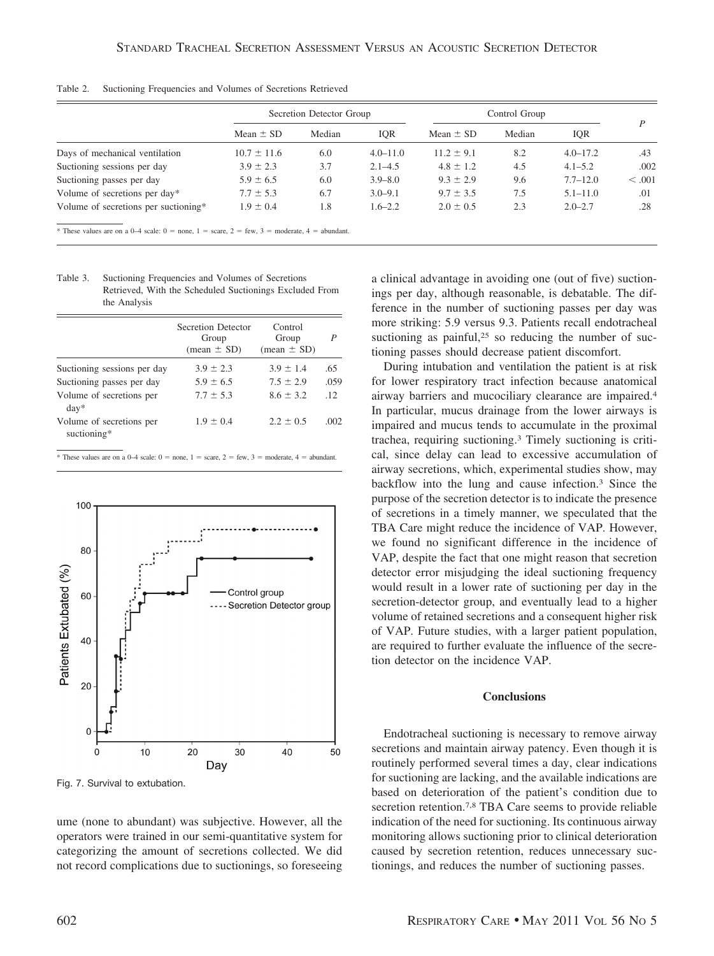|                                                                                              | Secretion Detector Group |        | Control Group |                |        |              |         |
|----------------------------------------------------------------------------------------------|--------------------------|--------|---------------|----------------|--------|--------------|---------|
|                                                                                              | Mean $\pm$ SD            | Median | IQR           | Mean $\pm$ SD  | Median | <b>IQR</b>   | P       |
| Days of mechanical ventilation                                                               | $10.7 \pm 11.6$          | 6.0    | $4.0 - 11.0$  | $11.2 \pm 9.1$ | 8.2    | $4.0 - 17.2$ | .43     |
| Suctioning sessions per day                                                                  | $3.9 \pm 2.3$            | 3.7    | $2.1 - 4.5$   | $4.8 \pm 1.2$  | 4.5    | $4.1 - 5.2$  | .002    |
| Suctioning passes per day                                                                    | $5.9 \pm 6.5$            | 6.0    | $3.9 - 8.0$   | $9.3 \pm 2.9$  | 9.6    | $7.7 - 12.0$ | < 0.001 |
| Volume of secretions per day*                                                                | $7.7 \pm 5.3$            | 6.7    | $3.0 - 9.1$   | $9.7 \pm 3.5$  | 7.5    | $5.1 - 11.0$ | .01     |
| Volume of secretions per suctioning*                                                         | $1.9 \pm 0.4$            | 1.8    | $1.6 - 2.2$   | $2.0 \pm 0.5$  | 2.3    | $2.0 - 2.7$  | .28     |
| * These values are on a 0–4 scale: 0 = none, 1 = scare, 2 = few, 3 = moderate, 4 = abundant. |                          |        |               |                |        |              |         |

Table 2. Suctioning Frequencies and Volumes of Secretions Retrieved

Table 3. Suctioning Frequencies and Volumes of Secretions Retrieved, With the Scheduled Suctionings Excluded From the Analysis

|                                         | Secretion Detector<br>Group<br>$mean \pm SD$ | Control<br>Group<br>$mean \pm SD$ | P    |
|-----------------------------------------|----------------------------------------------|-----------------------------------|------|
| Suctioning sessions per day             | $3.9 \pm 2.3$                                | $3.9 \pm 1.4$                     | .65  |
| Suctioning passes per day               | $5.9 \pm 6.5$                                | $7.5 \pm 2.9$                     | .059 |
| Volume of secretions per<br>$day*$      | $7.7 \pm 5.3$                                | $8.6 \pm 3.2$                     | .12  |
| Volume of secretions per<br>suctioning* | $1.9 \pm 0.4$                                | $2.2 \pm 0.5$                     | .002 |

\* These values are on a 0–4 scale: 0 = none, 1 = scare, 2 = few, 3 = moderate, 4 = abundant



Fig. 7. Survival to extubation.

ume (none to abundant) was subjective. However, all the operators were trained in our semi-quantitative system for categorizing the amount of secretions collected. We did not record complications due to suctionings, so foreseeing a clinical advantage in avoiding one (out of five) suctionings per day, although reasonable, is debatable. The difference in the number of suctioning passes per day was more striking: 5.9 versus 9.3. Patients recall endotracheal suctioning as painful, $25$  so reducing the number of suctioning passes should decrease patient discomfort.

During intubation and ventilation the patient is at risk for lower respiratory tract infection because anatomical airway barriers and mucociliary clearance are impaired.4 In particular, mucus drainage from the lower airways is impaired and mucus tends to accumulate in the proximal trachea, requiring suctioning.3 Timely suctioning is critical, since delay can lead to excessive accumulation of airway secretions, which, experimental studies show, may backflow into the lung and cause infection.3 Since the purpose of the secretion detector is to indicate the presence of secretions in a timely manner, we speculated that the TBA Care might reduce the incidence of VAP. However, we found no significant difference in the incidence of VAP, despite the fact that one might reason that secretion detector error misjudging the ideal suctioning frequency would result in a lower rate of suctioning per day in the secretion-detector group, and eventually lead to a higher volume of retained secretions and a consequent higher risk of VAP. Future studies, with a larger patient population, are required to further evaluate the influence of the secretion detector on the incidence VAP.

#### **Conclusions**

Endotracheal suctioning is necessary to remove airway secretions and maintain airway patency. Even though it is routinely performed several times a day, clear indications for suctioning are lacking, and the available indications are based on deterioration of the patient's condition due to secretion retention.<sup>7,8</sup> TBA Care seems to provide reliable indication of the need for suctioning. Its continuous airway monitoring allows suctioning prior to clinical deterioration caused by secretion retention, reduces unnecessary suctionings, and reduces the number of suctioning passes.